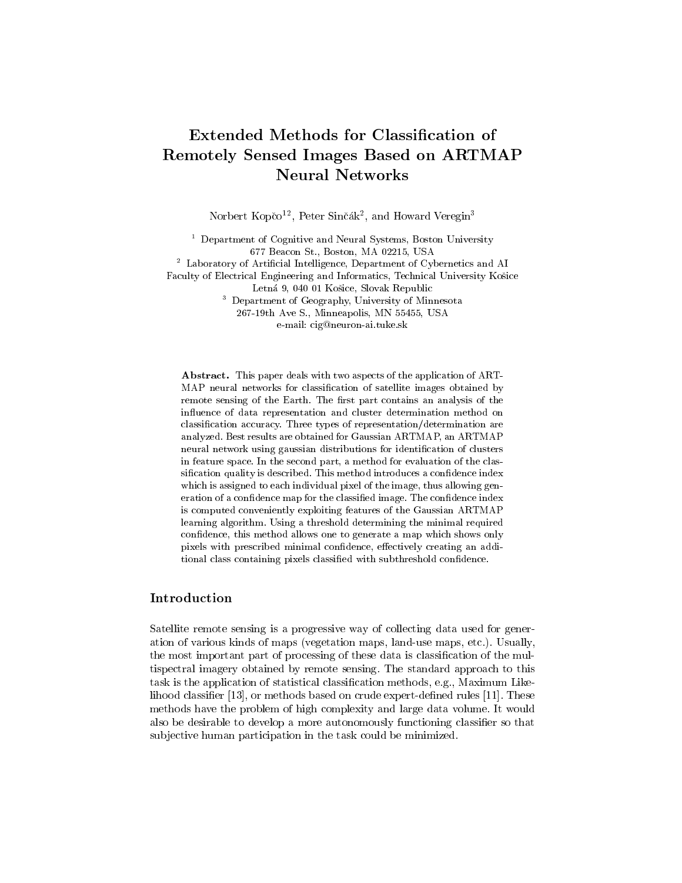# Extended Methods for Classification of Remotely Sensed Images Based on ARTMAP Neural Networks

Norbert Kopco-- Peter Sincak- - and Howard Veregin

 $\,$  - Department of Cognitive and Neural Systems, Boston University , a strand was a strand when the strand with the strand of the strand of the strand of the strand of the strand of the strand of the strand of the strand of the strand of the strand of the strand of the strand of the stran

 $\,$  - Laboratory of Artificial Intelligence, Department of Cybernetics and Al  $\,$ Faculty of Electrical Engineering and Informatics Technical University Ko sice

— sice sice sice sice sice sice sich materiale

Department of Geography, University of Minnesota

th Ave S Minneapolis MN (Ave S Minneapolis Mn Ave S Minneapolis Mn Ave S Minneapolis Mn Ave S Minneapolis Mn A

e-mail: cig@neuron-ai.tuke.sk

Abstract. This paper deals with two aspects of the application of ART-MAP neural networks for classification of satellite images obtained by remote sensing of the Earth. The first part contains an analysis of the influence of data representation and cluster determination method on classification accuracy. Three types of representation/determination are analyzed. Best results are obtained for Gaussian ARTMAP, an ARTMAP neural network using gaussian distributions for identification of clusters in feature space. In the second part, a method for evaluation of the classification quality is described. This method introduces a confidence index which is assigned to each individual pixel of the image, thus allowing generation of a confidence map for the classified image. The confidence index is computed conveniently exploiting features of the Gaussian ARTMAP learning algorithm. Using a threshold determining the minimal required confidence, this method allows one to generate a map which shows only pixels with prescribed minimal confidence, effectively creating an additional class containing pixels classified with subthreshold confidence.

### Introduction

Satellite remote sensing is a progressive way of collecting data used for gener ation of various matrix of maps- (vegetation maps- many maps- maps- provision). It was also the most important part of processing of these data is classification of the multispectral imagery obtained by remote sensing The standard approach to this task is the application of statistical classication methods- eg- Maximum Like lihood classic classic classic classic classic classic classic classic classic classic classic classic classic methods have the problem of high complexity and large data volume It would also be desirable to develop a more autonomously functioning classifier so that subjective human participation in the task could be minimized.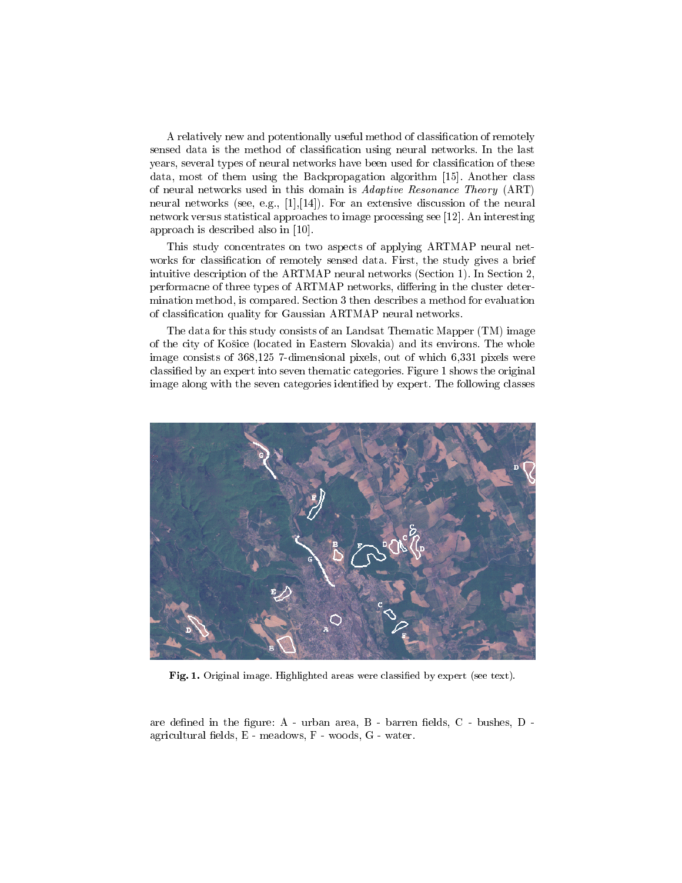A relatively new and potentionally useful method of classication of remotely sensed data is the method of classification using neural networks. In the last years- several types of neural networks have been used for classication of these data-backpropagation and them using the Backpropagation algorithm  $\mathcal{M}$  and the Backbrook of the Backbrook of the Backbrook of the Backbrook of the Backbrook of the Backbrook of the Backbrook of the Backbrook of the Bac of neural networks used in this domain is Adaptive Resonance Theory (ART) neural networks see - An extensive discussion of the neural contract neural contracts. network versus statistical approaches to image processing see  An interesting approach is described and in the series of the series of the series of the series of the series of the series

This study concentrates on two aspects of applying ARTMAP neural net works for classication of remotely sensed datably control atoms, gives a brief intuitive description of the ARTMAP neural networks Section In Section performacne of three types of ARTMAP networks- diering in the cluster deter mination method- is compared Section then describes a method for evaluation of classification quality for Gaussian ARTMAP neural networks.

The data for this study consists of an Landsat Thematic Mapper (TM) image of the city of Košice (located in Eastern Slovakia) and its environs. The whole image constants of the constants of which of which or pixels were consistent of which or pixels were consistent classical by an expert into seven thematic categories Figure into seven the original categories Figure in the o image along with the seven categories identified by expert. The following classes



Fig - Original image Highlighted areas were classi ed by expert see text

are denoted in the gure A  $\mathbf{A}$  barren elds-denoted in the gure A  $\mathbf{B}$ agricultural elds- E meadows- F woods- G water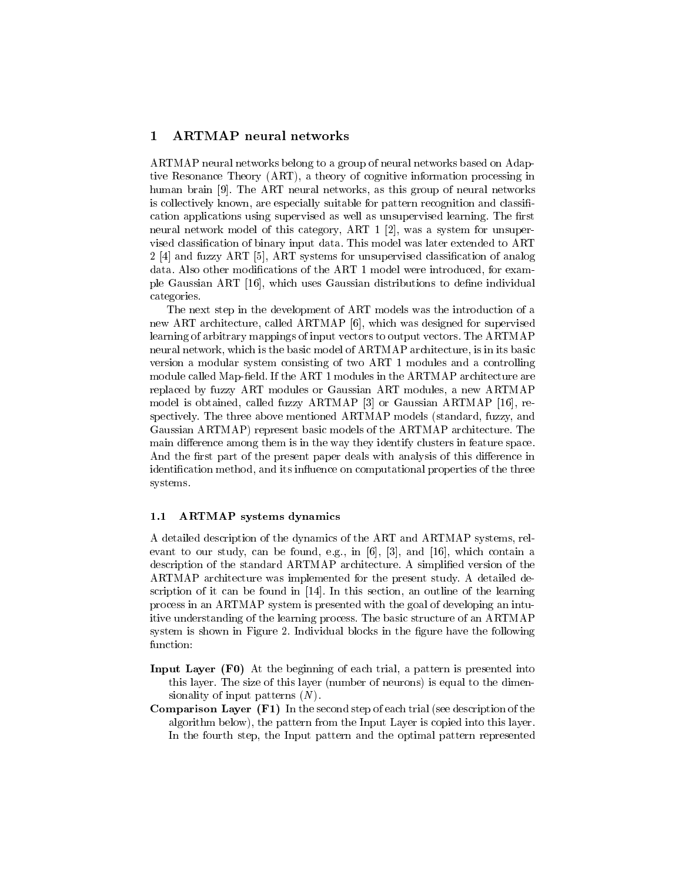## ARTMAP neural networks

ARTMAP neural networks belong to a group of neural networks based on Adap tive Resonance Theory ART- a theory of cognitive information processing in human brain brain brain brain brain as this group of neural networks-this group of neural networksis collectively known- are especially suitable for pattern recognition and classi cation applications using supervised as well as unsupervised learning. The first neural network model of this category- ART - was a system for unsuper vised classification of binary input data. This model was later extended to ART and functional control in the system and there are the control and the control of analogy of an data Also other modications of the ART of the ART 2000 into the ART 2000 into the ART 2000 introducedple Gaussian Article (1991) which uses Gaussian distributions to denomine individual and the second categories

The next step in the development of ART models was the introduction of a new ART are the called ARTMAP of the supervised for supervised for supervised for supervised for supervised for learning of arbitrary mappings of input vectors to output vectors The ARTMAP neural network-basic model of ARTMAP architecture-basic model of ARTMAP architectureversion a modular system consisting of two ART modules and a controlling modules in the ARTMAP architecture architecture architecture architecture architecture architecture architectu replaced by functy and the discussion of Gaussian Article and Arthur models are constructed and the complete o and the called function of the called the complete or Gaussian and the contract of the contract of the contract of  $\mathcal{C}$ spectively The three above mentioned above models standard- and whose production of the standard-Gaussian ARTMAP) represent basic models of the ARTMAP architecture. The main difference among them is in the way they identify clusters in feature space. And the first part of the present paper deals with analysis of this difference in identication method- and its inuence on computational properties of the three systems

#### $1.1$ ARTMAP systems dynamics

A detailed description of the dynamics of the ART and ARTMAP systems- rel evant to same country to an and the found-contained the property of the contained and the contained of the contain  $\alpha$ description of the standard ARTMAP architecture. A simplified version of the ARTMAP architecture was implemented for the present study A detailed de scription of its canadian of its section-between  $\mathbf{I}$  and  $\mathbf{I}$  this section-between  $\mathbf{I}$ process in an ARTMAP system is presented with the goal of developing an intu itive understanding of the learning process The basic structure of an ARTMAP system is shown in Figure 2. Individual blocks in the figure have the following function

- Input Layer F At the beginning of each trial- a pattern is presented into this layer. The size of this layer (number of neurons) is equal to the dimensionality of input patterns  $(N)$ .
- **Comparison Layer (F1)** In the second step of each trial (see description of the algorithm below- the pattern from the Input Layer is copied into this layer In the fourth step- the Input pattern and the optimal pattern represented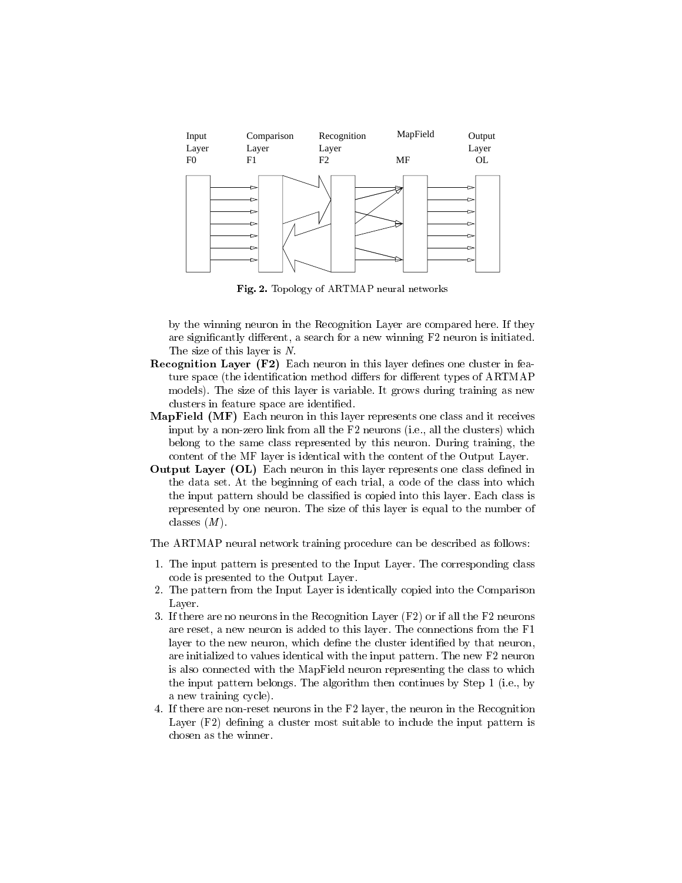

Fig. 2. Topology of ARTMAP neural networks

by the winning neuron in the Recognition Layer are compared here If they are signicantly dierent- a search for a new winning F neuron is initiated The size of this layer is N

- **Recognition Layer (F2)** Each neuron in this layer defines one cluster in feature space (the identification method differs for different types of ARTMAP models). The size of this layer is variable. It grows during training as new clusters in feature space are identified.
- **MapField (MF)** Each neuron in this layer represents one class and it receives input by a nonzero link from all the clusters which from all the first interesting the clusters which is a contr belong to the same class represented by this neuron During training- the content of the MF laver is identical with the content of the Output Laver. content of the MF layer is identical with the content of the Output Layer
- Output Layer (OL) Each neuron in this layer represents one class defined in  $\cdots$  data set  $\cdots$  the beginning of each trial-distribution class into which  $\cdots$ the input pattern should be classified is copied into this layer. Each class is represented by one neuron. The size of this layer is equal to the number of classes  $(M)$ .

The ARTMAP neural network training procedure can be described as follows

- The input pattern is presented to the Input Layer The corresponding class code is presented to the Output Layer
- The pattern from the Input Layer is identically copied into the Comparison Laver. Layer and the control of the control of the control of the control of the control of the control of the control of the control of the control of the control of the control of the control of the control of the control of th
- 3. If there are no neurons in the Recognition Layer  $(F2)$  or if all the F2 neurons are reset-to the reset-to-this layer than the connections from the connections from the connections from the F layer to the new neuron- which dene the cluster identied by that neuronare initialized to values identical with the input pattern. The new  $F2$  neuron is also connected with the MapField neuron representing the class to which the input pattern belongs The algorithm then continues by Step ie- by a new training cycle).
- If there are nonreset neurons in the F layer- the neuron in the Recognition Layer  $(F2)$  defining a cluster most suitable to include the input pattern is chosen as the winner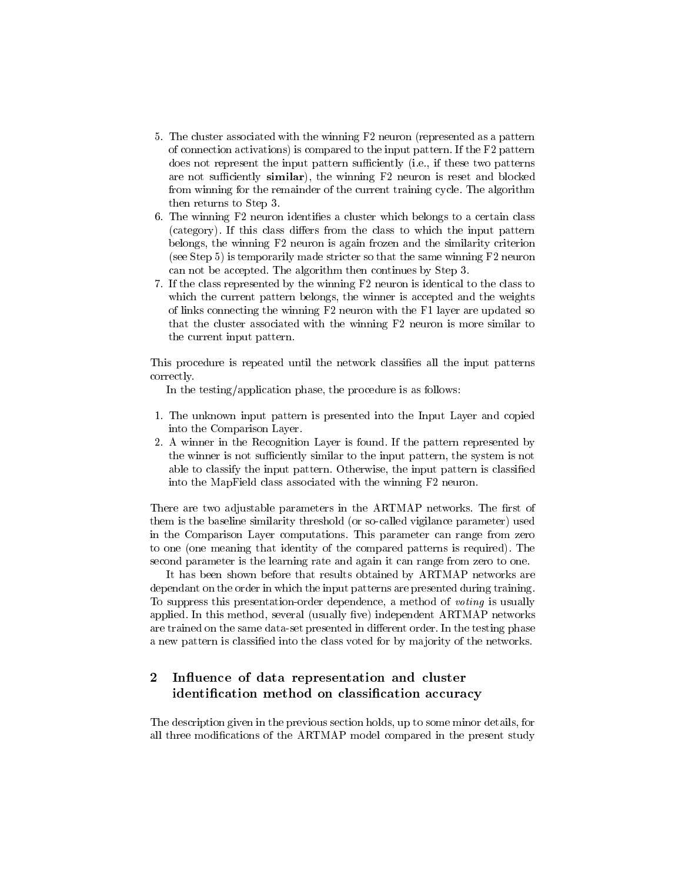- 5. The cluster associated with the winning  $F2$  neuron (represented as a pattern of connection activations) is compared to the input pattern. If the  $F2$  pattern does not represent the input pattern suciently ie- if these two patterns are not such that  $\mathbf{f}$  is reset and blocked and blocked and blocked and blocked and blocked and blocked and blocked and blocked and blocked and blocked and blocked and blocked and blocked and blocked and blocked and b from winning for the remainder of the current training cycle The algorithm then returns to Step
- 6. The winning  $F2$  neuron identifies a cluster which belongs to a certain class (category). If this class differs from the class to which the input pattern belongs- the winning F neuron is again frozen and the similarity criterion (see Step 5) is temporarily made stricter so that the same winning F2 neuron can not be accepted. The algorithm then continues by Step 3.
- 7. If the class represented by the winning  $F2$  neuron is identical to the class to which the current pattern belongs-the winner is accepted and the winner is accepted and the winner is accepted and the winner is accepted and the winner is accepted and the winner is accepted and the winner is accepted and of links connecting the winning  $\mathbf{H}$  neuron with the F neuron with the F neuron with the F neuron with the F neuron with the F neuron with the F neuron with the F neuron with the F neuron with the F neuron with the F that the cluster associated with the winning  $F2$  neuron is more similar to the current input pattern

This procedure is repeated until the network classifies all the input patterns correctly

in the testingapplication phase- phase- procedure is as follows well-

- The unknown input pattern is presented into the Input Layer and copied into the Comparison Layer
- A winner in the Recognition Layer is found If the pattern represented by the winner is not suciently similar to the input pattern- the system is not able to classify the imput pattern otherwise-input pattern pattern is classified in into the MapField class associated with the winning F2 neuron.

There are two adjustable parameters in the ARTMAP networks. The first of them is the baseline similarity threshold (or so-called vigilance parameter) used in the Comparison Layer computations This parameter can range from zero to one (one meaning that identity of the compared patterns is required). The second parameter is the learning rate and again it can range from zero to one

It has been shown before that results obtained by ARTMAP networks are dependant on the order in which the input patterns are presented during training To suppress this presentationorder dependence- a method of voting is usually applied In this method- several usually ve independent ARTMAP networks are trained on the same data-set presented in different order. In the testing phase a new pattern is classified into the class voted for by majority of the networks.

# Influence of data representation and cluster identification method on classification accuracy

The description given in the previous section holds- up to some minor details- for all three modifications of the ARTMAP model compared in the present study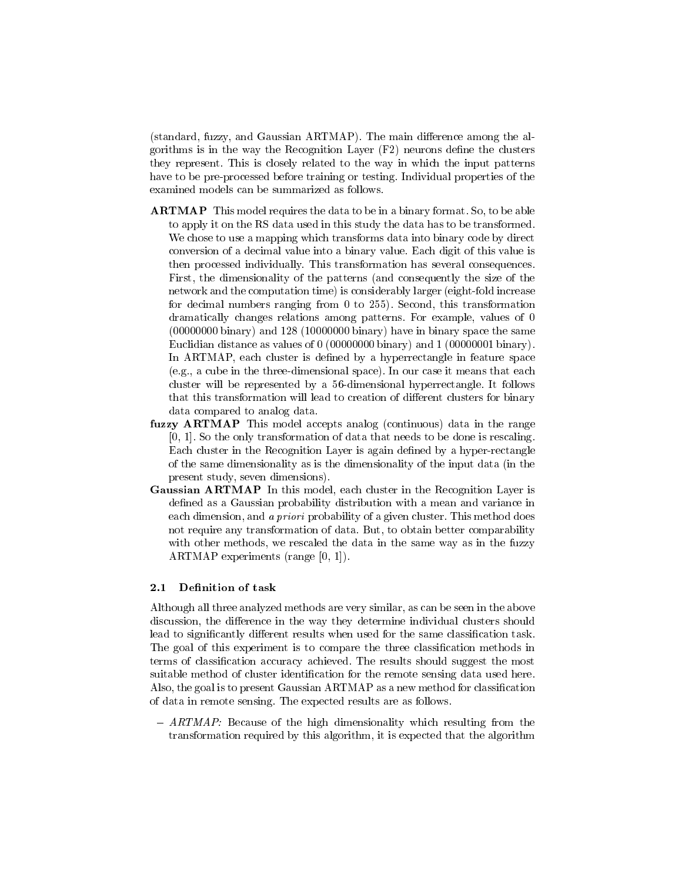standard-d- $\sim$  1.1 cm  $\sim$  1.1 cm  $\sim$  1.1 cm  $\sim$  1.1 cm  $\sim$  1.1 cm  $\sim$  1.1 cm  $\sim$  1.1 cm  $\sim$  1.1 cm  $\sim$  1.1 cm  $\sim$  1.1 cm  $\sim$  1.1 cm  $\sim$  1.1 cm  $\sim$  1.1 cm  $\sim$  1.1 cm  $\sim$  1.1 cm  $\sim$  1.1 cm  $\sim$  1.1 cm  $\sim$  1 gorithms is in the way the Recognition Layer  $(F2)$  neurons define the clusters they represent. This is closely related to the way in which the input patterns have to be pre-processed before training or testing. Individual properties of the examined models can be summarized as follows

- ARTMAP This model requires the data to be in a binary format So- to be able to apply it on the RS data used in this study the data has to be transformed We chose to use a mapping which transforms data into binary code by direct conversion of a decimal value into a binary value Each digit of this value is then processed individually This transformation has several consequences First- the dimensionality of the patterns and consequently the size of the network and the computation time) is considerably larger (eight-fold increase for decimal numbers ranging from  $\sigma$  is first,  $\sigma$  cooper, indicated from  $\sigma$ dramatically changes relations among patterns For example- values of , oo oo oo o o <del>and in ary the same in binary space in and in price the same in and s</del>  $\mathbf{B}$  binary and  $\mathbf{B}$  binary and  $\mathbf{B}$  binary and  $\mathbf{B}$  binary and  $\mathbf{B}$ In Arthur Artmap- each cluster is denoted by a hyperrectangle in feature space in feature space in feature space eg- a cube in the threedimensional space In our case it means that each cluster will be represented by a 56-dimensional hyperrectangle. It follows that this transformation will lead to creation of different clusters for binary data compared to analog data
- fuzzy ARTMAP This model accepts analog (continuous) data in the range . In the only transformation of data that needs to be done is rescaling to be done is rescaling to be done is r Each cluster in the Recognition Layer is again defined by a hyper-rectangle of the same dimensionality as is the dimensionality of the input data in the present study- several studies and study-
- a cluster in this model is the Recognition Layer in the Recognition Layer is the Recognition Layer in the Recognition Layer is the Recognition Layer in the Recognition Layer is the Recognition Layer in the Recognition Laye defined as a Gaussian probability distribution with a mean and variance in each dimension- and a priori probability of a given cluster This method does not require any transformation of data But- to obtain better comparability with other methods-sup- we rescale the same way as in the same way as in the same way as in the same  $\mu$  $\mathcal{L}$  are the contract of  $\mathcal{L}$  . The contract of  $\mathcal{L}$  is represented to the contract of  $\mathcal{L}$

#### 2.1 Definition of task

Although all three analyzed methods are very similar- as can be seen in the above discussion- the dierence in the way they determine individual clusters should lead to significantly different results when used for the same classification task. The goal of this experiment is to compare the three classification methods in terms of classification accuracy achieved. The results should suggest the most suitable method of cluster identification for the remote sensing data used here. Also- the goal is to present Gaussian ARTMAP as a new method for classication of data in remote sensing The expected results are as follows

 $-$  ARTMAP: Because of the high dimensionality which resulting from the transformation required by this algorithm- it is expected that the algorithm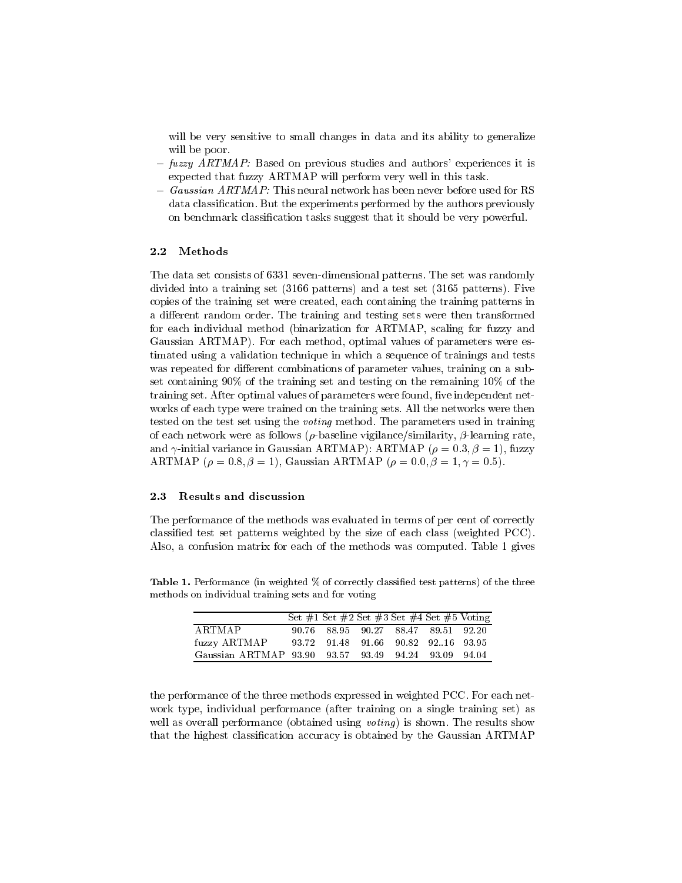will be very sensitive to small changes in data and its ability to generalize will be poor

- $-$  fuzzy ARTMAP: Based on previous studies and authors' experiences it is expected that fuzzy ARTMAP will perform very well in this task
- $-$  Gaussian ARTMAP: This neural network has been never before used for RS data classification. But the experiments performed by the authors previously on benchmark classification tasks suggest that it should be very powerful.

#### $2.2$ Methods

The data set consists of sevendimensional patterns The set was randomly divided into a training set (train patterns) which are the (train patterns). Five the contract of the contract of  $\mathcal{S}$ copies of the training set were created-up containing the training patterns in  $\mathcal{L}_{\mathcal{A}}$ a different random order. The training and testing sets were then transformed for each individual method binarization for ARTMAP- scaling for fuzzy and Gaussian ARTMAP For each method- optimal values of parameters were es timated using a validation technique in which a sequence of trainings and tests was repeated for different combinations of parameters of windows of parameters  $\sim$  subscriptions of  $\sim$ set containing  $\cdot$  ,  $\vee$  the the training set and the the remaining of  $\vee$  the remaining of  $\vee$ training set After optimal values of parameters were found- ve independent net works of each type were trained on the training sets All the networks were then tested on the test set using the *voting* method. The parameters used in training of each complete were as follows baseline vigilancesimilarity-in the complete via and  $\gamma$ -initial variance in Gaussian Arthward *J.* Arthward  $(\rho = 0.5, \rho = 1)$ , ruzzy ARTIMAP  $(p = 0.0, p = 1)$ , Gaussian ARTMAP  $(p = 0.0, p = 1, p = 0.0)$ 

#### 2.3 Results and discussion

The performance of the methods was evaluated in terms of per cent of correctly classified test set patterns weighted by the size of each class (weighted  $PCC$ ). Also- a confusion matrix for each of the methods was computed Table gives

Set  $\#1$  Set  $\#2$  Set  $\#3$  Set  $\#4$  Set  $\#5$  Voting 88.95 89.51

Gaussian ARTMAP 93.90 93.57 93.49 94.24 93.09 94.04

91.66

90.82

 $92, 16$ 

93.95

fuzzy ARTMAP 93.72 91.48

93.72

Table - Performance in weighted of correctly classi ed test patterns of the three methods on individual training sets and for voting

the performance of the three methods expressed in weighted PCC For each net work type- individual performance after training on a single training set as well as overall performance (obtained using voting) is shown. The results show that the highest classification accuracy is obtained by the Gaussian ARTMAP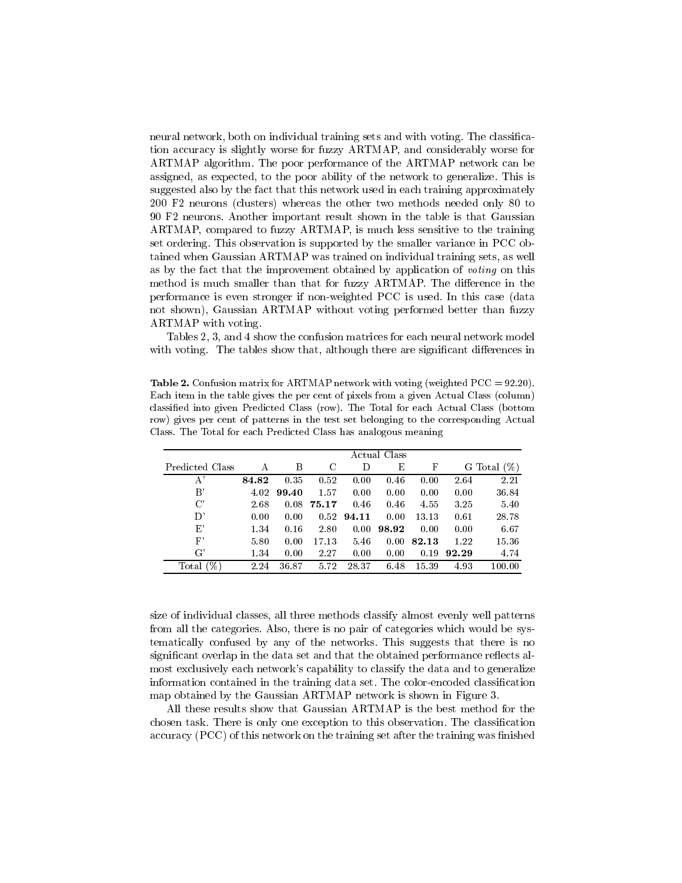neural network-training sets and with voting training sets and with voting The classical training The classical training  $\mathbf{r}$ tion accuracy is slightly worse for fuzzy ARTMAP- and considerably worse for ARTMAP algorithm. The poor performance of the ARTMAP network can be assigned- as expected- to the poor ability of the network to generalize This is suggested also by the fact that this network used in each training approximately 200 F2 neurons (clusters) whereas the other two methods needed only 80 to 90 F2 neurons. Another important result shown in the table is that Gaussian ARTMAP- compared to fuzzy ARTMAP- is much less sensitive to the training set ordering. This observation is supported by the smaller variance in PCC obtained when Gaussian ARTMAP was trained on individual training sets- as well as by the fact that the improvement obtained by application of voting on this method is much smaller than that for fuzzy ARTMAP. The difference in the performance is even stronger if non-weighted PCC is used. In this case (data not shown-partment articles than articles than function of the function of the station of the function of the  $\mu$ ARTMAP with voting

Tables - - and show the confusion matrices for each neural network model with the tables show that the tables show that the tables show the significant differences in the significant of

Table 2. Confusion matrix for ARTMAP network with voting (weighted  $PCC = 92.20$ ). Each item in the table gives the per cent of pixels from a given Actual Class column classified into given Predicted Class (row). The Total for each Actual Class (bottom row) gives per cent of patterns in the test set belonging to the corresponding Actual Class The Total for each Predicted Class has analogous meaning

|                       | Actual Class |       |       |       |       |       |       |                |
|-----------------------|--------------|-------|-------|-------|-------|-------|-------|----------------|
| Predicted Class       | А            | в     | C     | D     | Ε     | F     |       | (%)<br>G Total |
| A'                    | 84.82        | 0.35  | 0.52  | 0.00  | 0.46  | 0.00  | 2.64  | 2.21           |
| $\rm B'$              | 4.02         | 99.40 | 1.57  | 0.00  | 0.00  | 0.00  | 0.00  | 36.84          |
| $\rm C'$              | 2.68         | 0.08  | 75.17 | 0.46  | 0.46  | 4.55  | 3.25  | 5.40           |
| D'                    | 0.00         | 0.00  | 0.52  | 94.11 | 0.00  | 13.13 | 0.61  | 28.78          |
| E'                    | 1.34         | 0.16  | 2.80  | 0.00  | 98.92 | 0.00  | 0.00  | 6.67           |
| $\mathbf{F}$          | 5.80         | 0.00  | 17.13 | 5.46  | 0.00  | 82.13 | 1.22  | 15.36          |
| $\mathrm{G}^{\prime}$ | 1.34         | 0.00  | 2.27  | 0.00  | 0.00  | 0.19  | 92.29 | 4.74           |
| %<br>Total            | 2.24         | 36.87 | 5.72  | 28.37 | 6.48  | 15.39 | 4.93  | 100.00         |

size of individual classes- all three methods classify almost evenly well patterns from all the categories Also- there is no pair of categories which would be sys tematically confused by any of the networks This suggests that there is no significant overlap in the data set and that the obtained performance reflects almost exclusively each network's capability to classify the data and to generalize information contained in the training data set. The color-encoded classification map obtained by the Gaussian ARTMAP network is shown in Figure 3.

All these results show that Gaussian ARTMAP is the best method for the chosen task. There is only one exception to this observation. The classification  $\alpha$  accuracy (PCC) of this network on the training set after the training was finished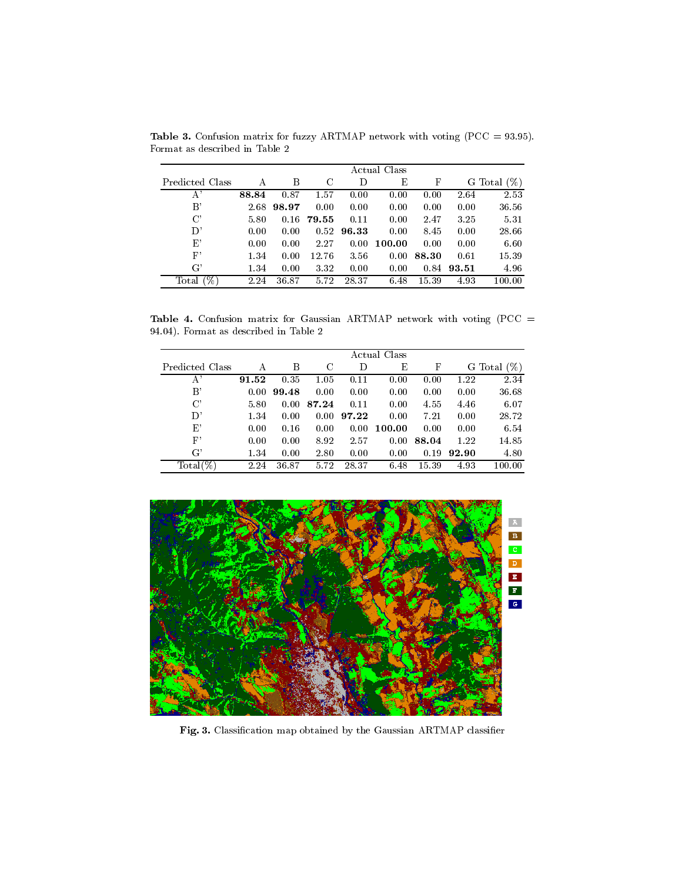|                       | Actual Class |       |       |       |        |       |       |                |
|-----------------------|--------------|-------|-------|-------|--------|-------|-------|----------------|
| Predicted Class       | А            | в     | C     | D     | Ε      | F     |       | G Total $(\%)$ |
| $A^{\prime}$          | 88.84        | 0.87  | 1.57  | 0.00  | 0.00   | 0.00  | 2.64  | 2.53           |
| B'                    | 2.68         | 98.97 | 0.00  | 0.00  | 0.00   | 0.00  | 0.00  | 36.56          |
| $\rm C'$              | 5.80         | 0.16  | 79.55 | 0.11  | 0.00   | 2.47  | 3.25  | 5.31           |
| D'                    | 0.00         | 0.00  | 0.52  | 96.33 | 0.00   | 8.45  | 0.00  | 28.66          |
| $\mathbf{E}^{\prime}$ | 0.00         | 0.00  | 2.27  | 0.00  | 100.00 | 0.00  | 0.00  | 6.60           |
| $\mathbf{F}$ ,        | 1.34         | 0.00  | 12.76 | 3.56  | 0.00   | 88.30 | 0.61  | 15.39          |
| $G^{\prime}$          | 1.34         | 0.00  | 3.32  | 0.00  | 0.00   | 0.84  | 93.51 | 4.96           |
| %<br>Total            | 2.24         | 36.87 | 5.72  | 28.37 | 6.48   | 15.39 | 4.93  | 100.00         |

Table Confusion matrix for fuzzy ARTMAP network with voting PCC  Format as described in Table

Table 4. Confusion matrix for Gaussian ARTMAP network with voting (PCC = 94.04). Format as described in Table 2

|                       | Actual Class |       |       |       |        |       |       |                |
|-----------------------|--------------|-------|-------|-------|--------|-------|-------|----------------|
| Predicted Class       | А            | в     | С     | D     | Ε      | F     |       | G Total $(\%)$ |
| $A^{\prime}$          | 91.52        | 0.35  | 1.05  | 0.11  | 0.00   | 0.00  | 1.22  | 2.34           |
| $\mathbf{B}$          | 0.00         | 99.48 | 0.00  | 0.00  | 0.00   | 0.00  | 0.00  | 36.68          |
| C,                    | 5.80         | 0.00  | 87.24 | 0.11  | 0.00   | 4.55  | 4.46  | 6.07           |
| D'                    | 1.34         | 0.00  | 0.00  | 97.22 | 0.00   | 7.21  | 0.00  | 28.72          |
| E,                    | 0.00         | 0.16  | 0.00  | 0.00  | 100.00 | 0.00  | 0.00  | 6.54           |
| Ŀ,                    | 0.00         | 0.00  | 8.92  | 2.57  | 0.00   | 88.04 | 1.22  | 14.85          |
| $\mathrm{G}^{\prime}$ | 1.34         | 0.00  | 2.80  | 0.00  | 0.00   | 0.19  | 92.90 | 4.80           |
| $Total(\%)$           | 2.24         | 36.87 | 5.72  | 28.37 | 6.48   | 15.39 | 4.93  | 100.00         |



Fig Classi cation map obtained by the Gaussian ARTMAP classi er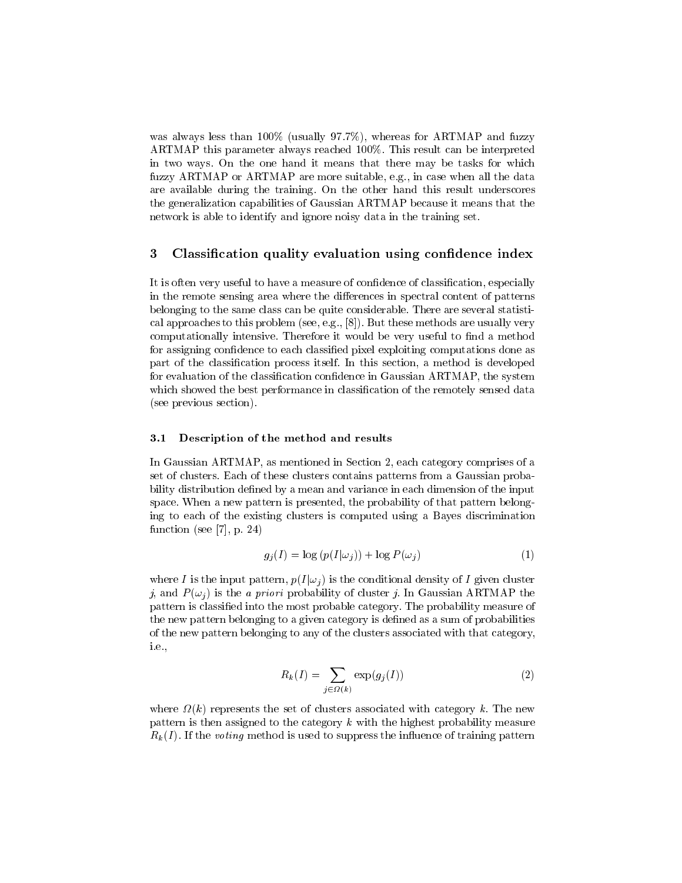was always less than  $u$  -fuzzy less than  $u$  and fuzzy less than  $u$  and fuzzy less than  $u$ ARTMAP this parameter always reached the interpreted behavior  $\mathbf{r}$  result can be interpreted by interpreted by interpreted by interpreted by interpreted by interpreted by interpreted by interpreted by interpreted by i in two ways On the one hand it means that there may be tasks for which fuzzy ARTMAP or ARTMAP are more suitable- eg- in case when all the data are available during the training On the other hand this result underscores the generalization capabilities of Gaussian ARTMAP because it means that the network is able to identify and ignore noisy data in the training set

#### 3 Classification quality evaluation using confidence index

It is often very useful to have a measure of condence of classication- especially in the remote sensing area where the differences in spectral content of patterns belonging to the same class can be quite considerable There are several statisti cal approaches to this problem see- eg-  But these methods are usually very computationally intensive. Therefore it would be very useful to find a method for assigning confidence to each classified pixel exploiting computations done as part of the classication process itself In this section- a method isdeveloped for evaluation of the classication condence in Gaussian ARTMAP- the system which showed the best performance in classification of the remotely sensed data (see previous section).

#### $\bf 3.1$ Description of the method and results

In Gaussian ARTMAP- as mentioned in Section - each category comprises of a set of clusters Each of these clusters contains patterns from a Gaussian proba bility distribution defined by a mean and variance in each dimension of the input space when a new pattern is presented-internal that probability of them pattern belong ing to each of the existing clusters is computed using a Bayes discrimination  $\mathbf{f}$  , and a set of the set of the set of the set of the set of the set of the set of the set of the set of the set of the set of the set of the set of the set of the set of the set of the set of the set of the set of

$$
g_i(I) = \log (p(I|\omega_i)) + \log P(\omega_i)
$$
 (1)

where I is the input pattern patterns of  $p$  (ii) is the conditional density of I  $Q$  , i.e. condition j) were a formation of  $P$  , the and  $P$  is the and  $P$  is the article of  $J$  and  $J$  is the article of  $P$  and  $\alpha$ pattern is classified into the most probable category. The probability measure of the new pattern belonging to a given category is defined as a sum of probabilities of the new pattern belonging to any of the clusters associated with that categoryie-

$$
R_k(I) = \sum_{j \in \Omega(k)} \exp(g_j(I)) \tag{2}
$$

where  $\Omega(k)$  represents the set of clusters associated with category k. The new pattern is then assigned to the category  $k$  with the highest probability measure  $R_k(I)$ . If the voting method is used to suppress the influence of training pattern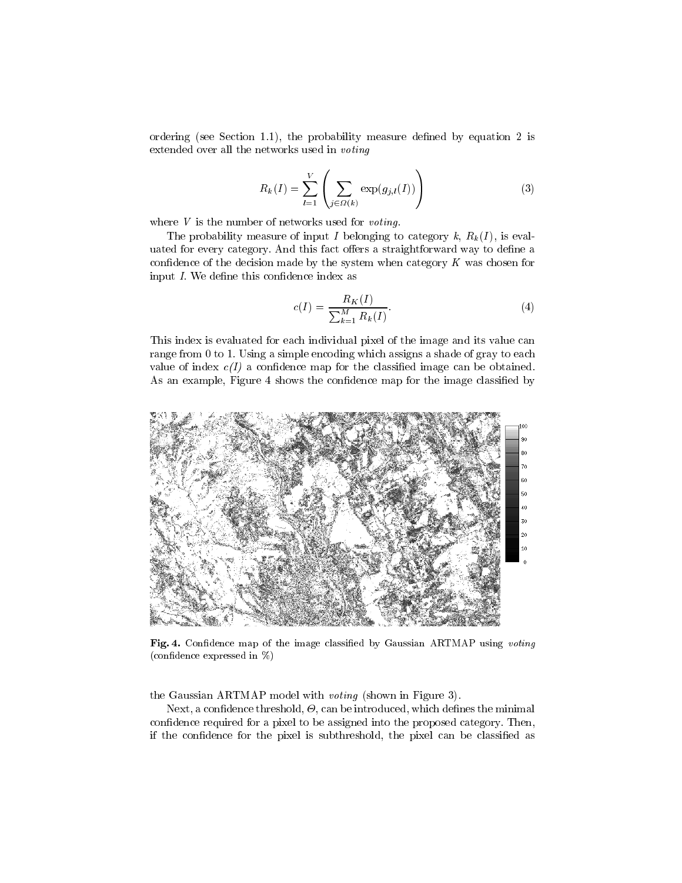ordering see Section and the probability measurement of the probability measurement of the probability measure extended over all the networks used in voting

$$
R_k(I) = \sum_{l=1}^{V} \left( \sum_{j \in \Omega(k)} \exp(g_{j,l}(I)) \right)
$$
 (3)

where  $V$  is the number of networks used for *voting*.

The probability measure of input I belonging to category  $\alpha$  is evaluated to  $\alpha$ uated for every category. And this fact offers a straightforward way to define a confidence of the decision made by the system when category  $K$  was chosen for input  $I$ . We define this confidence index as

$$
c(I) = \frac{R_K(I)}{\sum_{k=1}^{M} R_k(I)}.\tag{4}
$$

This index is evaluated for each individual pixel of the image and its value can range from to Using a simple encoding which assigns a shade of gray to each value of index c-paper condence map for the condensation image can be obtained in as an example-  $\sim$  the condence map for the condence map for the image classical condensation of



Fig. 4. Confidence map of the image classified by Gaussian ARTMAP using voting (confidence expressed in  $%$ )

the Gaussian ARTMAP model with *voting* (shown in Figure 3).

Next- a condence threshold- - can be introduced- which denes the minimal confidence required for a pixel to be assigned into the proposed category. Then, if the condence for the pixel is subthreshold- the pixel can be classied as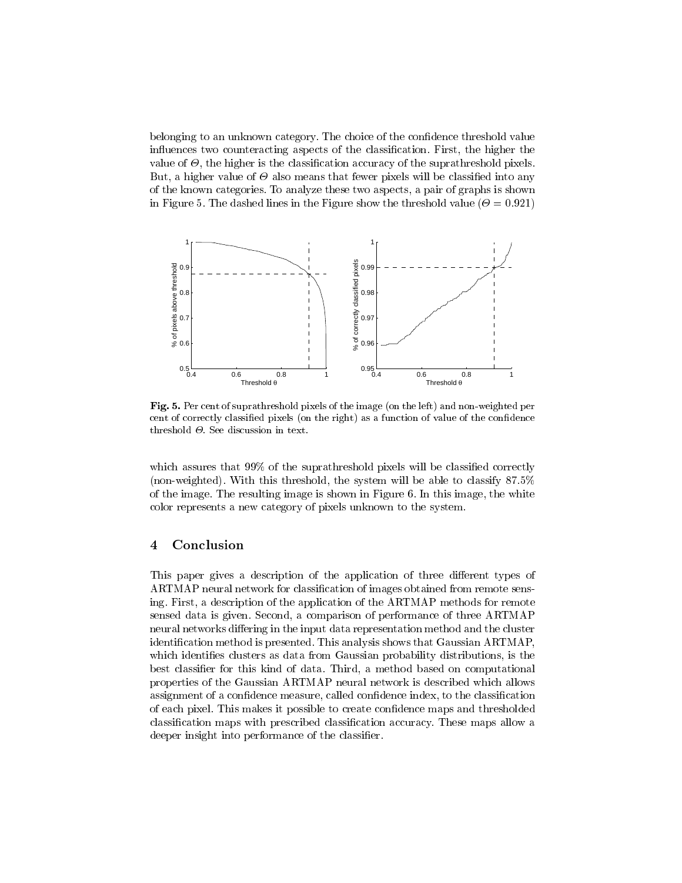belonging to an unknown category. The choice of the confidence threshold value inuences two counteracting aspects of the classication First- the higher the value of the classication is the classication accuracy of the suprathreshold pixels of the suprathreshold pixels — any a magnetic value of  $\omega$  means that fewer pixels will be considered into any  $\omega$ of the known categories To analyze these two aspects- a pair of graphs is shown in Figure 9. Fire geometry in the Figure show the threshold vector  $\vert \phi - \phi \vert$  ,  $\phi = 1$ 



Fig. 5. Per cent of suprathreshold pixels of the image (on the left) and non-weighted per cent of correctly classified pixels (on the right) as a function of value of the confidence threshold  $\Theta$ . See discussion in text.

which assures that  $99\%$  of the suprathreshold pixels will be classified correctly non will be able to the system will be able to classificate with the system will be able to be able to be able to be able to be able to be able to be able to be able to be able to be able to be able to be able to be able t  $\alpha$  is the image The state image image is shown in Figure . This image, the white  $\alpha$ color represents a new category of pixels unknown to the system

# Conclusion

This paper gives a description of the application of three different types of ARTMAP neural network for classification of images obtained from remote sensing First- a description of the application of the ARTMAP methods for remote sensed data is given Second- a comparison of performance of three ARTMAP neural networks differing in the input data representation method and the cluster identification method is presented. This analysis shows that Gaussian ARTMAP. which is the from Gaussian as data from Gaussian probability distribution of the from Gaussian probability of best classier for this kind of data Third- a method based on computational properties of the Gaussian ARTMAP neural network is described which allows assignment of a condence measure- called condence index- to the classication of each pixel This makes it possible to create condence maps and thresholded classification maps with prescribed classification accuracy. These maps allow a deeper insight into performance of the classifier.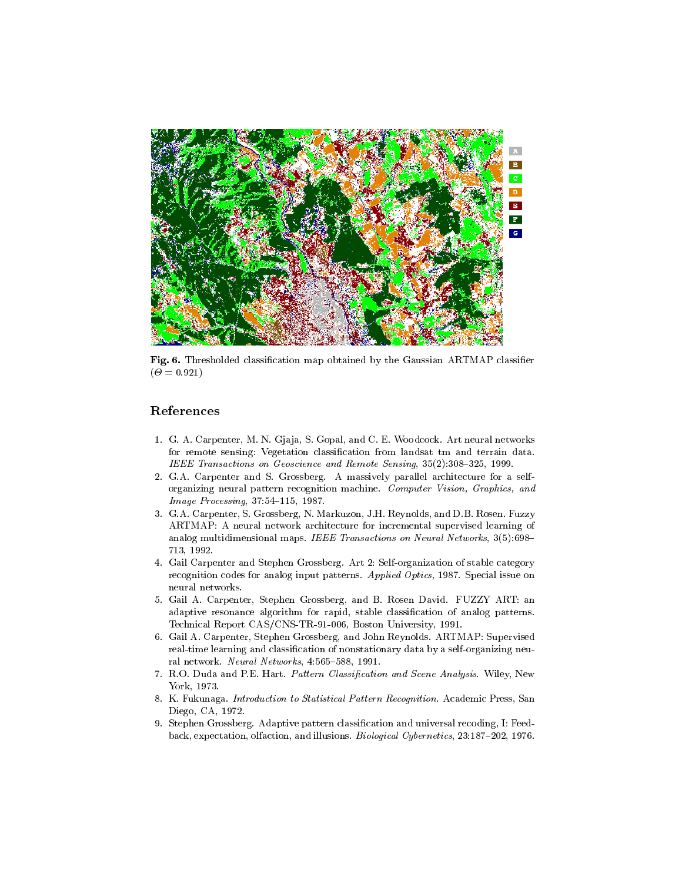

Fig. 6. Thresholded classification map obtained by the Gaussian ARTMAP classifier -

### References

- 1. G. A. Carpenter, M. N. Gjaja, S. Gopal, and C. E. Woodcock. Art neural networks for remote sensing: Vegetation classification from landsat tm and terrain data. IEEE Transactions on Geoscience and Remote Sensing, 35(2):308-325, 1999.
- 2. G.A. Carpenter and S. Grossberg. A massively parallel architecture for a selforganizing neural pattern recognition machine. Computer Vision, Graphics, and Image Processing, 37:54-115, 1987.
- 3. G.A. Carpenter, S. Grossberg, N. Markuzon, J.H. Reynolds, and D.B. Rosen. Fuzzy ARTMAP: A neural network architecture for incremental supervised learning of analog multidimensional maps IEEE Transactions on Neural Networks - 713, 1992.
- 4. Gail Carpenter and Stephen Grossberg. Art 2: Self-organization of stable category recognition codes for analog input patterns. Applied Optics, 1987. Special issue on neural networks
- 5. Gail A. Carpenter, Stephen Grossberg, and B. Rosen David. FUZZY ART: an adaptive resonance algorithm for rapid, stable classification of analog patterns. Technical Report CASCNSTR- Boston University
- Gail A Carpenter Stephen Grossberg and John Reynolds ARTMAP Supervised real-time learning and classification of nonstationary data by a self-organizing neural 2000 in 1982, and 1983 in 1982, and 1982, and 1982, and 1982, and 1982, and 1982, and 1982, and 1983, and
- ro and Classical and Peterson Classical Analysis Wiley News, Classical Analysis Wiley News, Inc. (1986), Inc. (1986) York, 1973.
- 8. K. Fukunaga. Introduction to Statistical Pattern Recognition. Academic Press, San Diego, CA, 1972.
- 9. Stephen Grossberg. Adaptive pattern classification and universal recoding, I: Feedback expectation olfaction and illusions Biological Cybernetics -